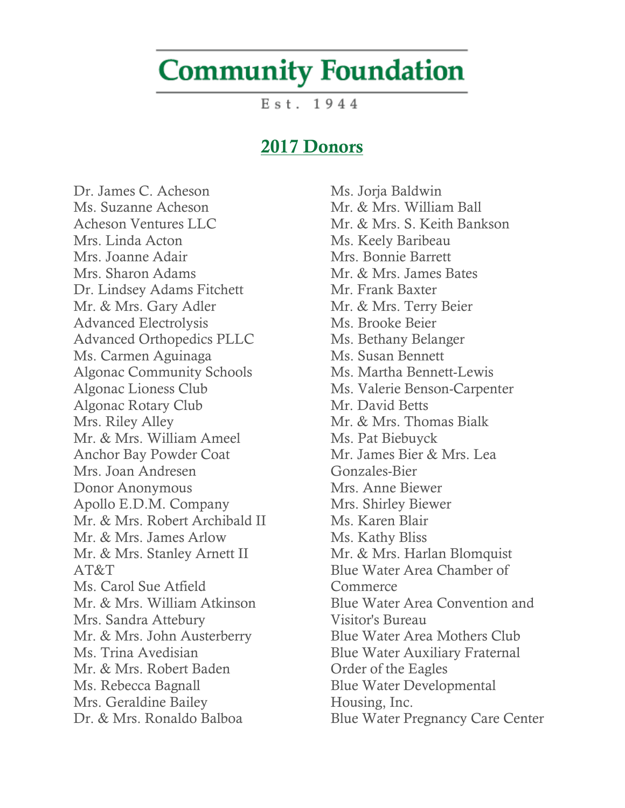## **Community Foundation**

 $Est. 1944$ 

## 2017 Donors

Dr. James C. Acheson Ms. Suzanne Acheson Acheson Ventures LLC Mrs. Linda Acton Mrs. Joanne Adair Mrs. Sharon Adams Dr. Lindsey Adams Fitchett Mr. & Mrs. Gary Adler Advanced Electrolysis Advanced Orthopedics PLLC Ms. Carmen Aguinaga Algonac Community Schools Algonac Lioness Club Algonac Rotary Club Mrs. Riley Alley Mr. & Mrs. William Ameel Anchor Bay Powder Coat Mrs. Joan Andresen Donor Anonymous Apollo E.D.M. Company Mr. & Mrs. Robert Archibald II Mr. & Mrs. James Arlow Mr. & Mrs. Stanley Arnett II AT&T Ms. Carol Sue Atfield Mr. & Mrs. William Atkinson Mrs. Sandra Attebury Mr. & Mrs. John Austerberry Ms. Trina Avedisian Mr. & Mrs. Robert Baden Ms. Rebecca Bagnall Mrs. Geraldine Bailey Dr. & Mrs. Ronaldo Balboa

Ms. Jorja Baldwin Mr. & Mrs. William Ball Mr. & Mrs. S. Keith Bankson Ms. Keely Baribeau Mrs. Bonnie Barrett Mr. & Mrs. James Bates Mr. Frank Baxter Mr. & Mrs. Terry Beier Ms. Brooke Beier Ms. Bethany Belanger Ms. Susan Bennett Ms. Martha Bennett-Lewis Ms. Valerie Benson-Carpenter Mr. David Betts Mr. & Mrs. Thomas Bialk Ms. Pat Biebuyck Mr. James Bier & Mrs. Lea Gonzales-Bier Mrs. Anne Biewer Mrs. Shirley Biewer Ms. Karen Blair Ms. Kathy Bliss Mr. & Mrs. Harlan Blomquist Blue Water Area Chamber of Commerce Blue Water Area Convention and Visitor's Bureau Blue Water Area Mothers Club Blue Water Auxiliary Fraternal Order of the Eagles Blue Water Developmental Housing, Inc. Blue Water Pregnancy Care Center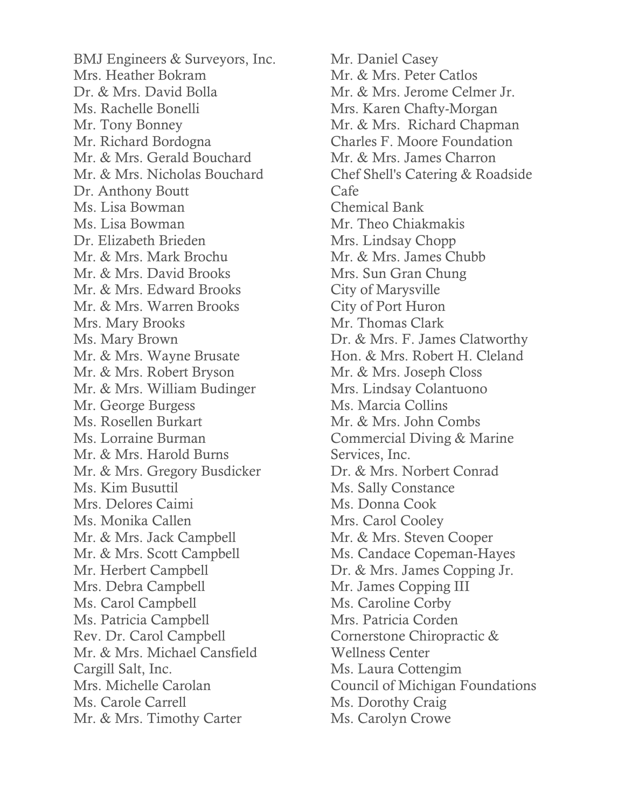BMJ Engineers & Surveyors, Inc. Mrs. Heather Bokram Dr. & Mrs. David Bolla Ms. Rachelle Bonelli Mr. Tony Bonney Mr. Richard Bordogna Mr. & Mrs. Gerald Bouchard Mr. & Mrs. Nicholas Bouchard Dr. Anthony Boutt Ms. Lisa Bowman Ms. Lisa Bowman Dr. Elizabeth Brieden Mr. & Mrs. Mark Brochu Mr. & Mrs. David Brooks Mr. & Mrs. Edward Brooks Mr. & Mrs. Warren Brooks Mrs. Mary Brooks Ms. Mary Brown Mr. & Mrs. Wayne Brusate Mr. & Mrs. Robert Bryson Mr. & Mrs. William Budinger Mr. George Burgess Ms. Rosellen Burkart Ms. Lorraine Burman Mr. & Mrs. Harold Burns Mr. & Mrs. Gregory Busdicker Ms. Kim Busuttil Mrs. Delores Caimi Ms. Monika Callen Mr. & Mrs. Jack Campbell Mr. & Mrs. Scott Campbell Mr. Herbert Campbell Mrs. Debra Campbell Ms. Carol Campbell Ms. Patricia Campbell Rev. Dr. Carol Campbell Mr. & Mrs. Michael Cansfield Cargill Salt, Inc. Mrs. Michelle Carolan Ms. Carole Carrell Mr. & Mrs. Timothy Carter

Mr. Daniel Casey Mr. & Mrs. Peter Catlos Mr. & Mrs. Jerome Celmer Jr. Mrs. Karen Chafty-Morgan Mr. & Mrs. Richard Chapman Charles F. Moore Foundation Mr. & Mrs. James Charron Chef Shell's Catering & Roadside Cafe Chemical Bank Mr. Theo Chiakmakis Mrs. Lindsay Chopp Mr. & Mrs. James Chubb Mrs. Sun Gran Chung City of Marysville City of Port Huron Mr. Thomas Clark Dr. & Mrs. F. James Clatworthy Hon. & Mrs. Robert H. Cleland Mr. & Mrs. Joseph Closs Mrs. Lindsay Colantuono Ms. Marcia Collins Mr. & Mrs. John Combs Commercial Diving & Marine Services, Inc. Dr. & Mrs. Norbert Conrad Ms. Sally Constance Ms. Donna Cook Mrs. Carol Cooley Mr. & Mrs. Steven Cooper Ms. Candace Copeman-Hayes Dr. & Mrs. James Copping Jr. Mr. James Copping III Ms. Caroline Corby Mrs. Patricia Corden Cornerstone Chiropractic & Wellness Center Ms. Laura Cottengim Council of Michigan Foundations Ms. Dorothy Craig Ms. Carolyn Crowe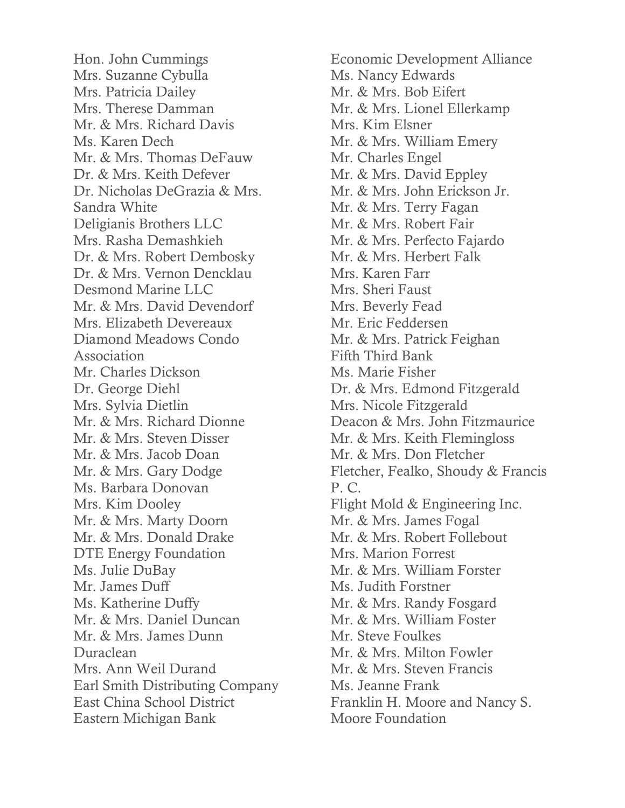Hon. John Cummings Mrs. Suzanne Cybulla Mrs. Patricia Dailey Mrs. Therese Damman Mr. & Mrs. Richard Davis Ms. Karen Dech Mr. & Mrs. Thomas DeFauw Dr. & Mrs. Keith Defever Dr. Nicholas DeGrazia & Mrs. Sandra White Deligianis Brothers LLC Mrs. Rasha Demashkieh Dr. & Mrs. Robert Dembosky Dr. & Mrs. Vernon Dencklau Desmond Marine LLC Mr. & Mrs. David Devendorf Mrs. Elizabeth Devereaux Diamond Meadows Condo Association Mr. Charles Dickson Dr. George Diehl Mrs. Sylvia Dietlin Mr. & Mrs. Richard Dionne Mr. & Mrs. Steven Disser Mr. & Mrs. Jacob Doan Mr. & Mrs. Gary Dodge Ms. Barbara Donovan Mrs. Kim Dooley Mr. & Mrs. Marty Doorn Mr. & Mrs. Donald Drake DTE Energy Foundation Ms. Julie DuBay Mr. James Duff Ms. Katherine Duffy Mr. & Mrs. Daniel Duncan Mr. & Mrs. James Dunn Duraclean Mrs. Ann Weil Durand Earl Smith Distributing Company East China School District Eastern Michigan Bank

Economic Development Alliance Ms. Nancy Edwards Mr. & Mrs. Bob Eifert Mr. & Mrs. Lionel Ellerkamp Mrs. Kim Elsner Mr. & Mrs. William Emery Mr. Charles Engel Mr. & Mrs. David Eppley Mr. & Mrs. John Erickson Jr. Mr. & Mrs. Terry Fagan Mr. & Mrs. Robert Fair Mr. & Mrs. Perfecto Fajardo Mr. & Mrs. Herbert Falk Mrs. Karen Farr Mrs. Sheri Faust Mrs. Beverly Fead Mr. Eric Feddersen Mr. & Mrs. Patrick Feighan Fifth Third Bank Ms. Marie Fisher Dr. & Mrs. Edmond Fitzgerald Mrs. Nicole Fitzgerald Deacon & Mrs. John Fitzmaurice Mr. & Mrs. Keith Flemingloss Mr. & Mrs. Don Fletcher Fletcher, Fealko, Shoudy & Francis P. C. Flight Mold & Engineering Inc. Mr. & Mrs. James Fogal Mr. & Mrs. Robert Follebout Mrs. Marion Forrest Mr. & Mrs. William Forster Ms. Judith Forstner Mr. & Mrs. Randy Fosgard Mr. & Mrs. William Foster Mr. Steve Foulkes Mr. & Mrs. Milton Fowler Mr. & Mrs. Steven Francis Ms. Jeanne Frank Franklin H. Moore and Nancy S. Moore Foundation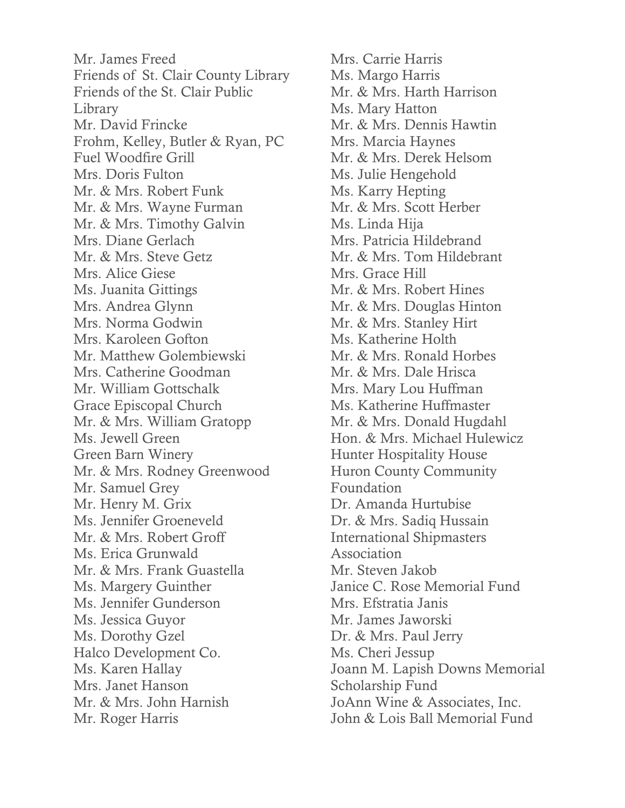Mr. James Freed Friends of St. Clair County Library Friends of the St. Clair Public Library Mr. David Frincke Frohm, Kelley, Butler & Ryan, PC Fuel Woodfire Grill Mrs. Doris Fulton Mr. & Mrs. Robert Funk Mr. & Mrs. Wayne Furman Mr. & Mrs. Timothy Galvin Mrs. Diane Gerlach Mr. & Mrs. Steve Getz Mrs. Alice Giese Ms. Juanita Gittings Mrs. Andrea Glynn Mrs. Norma Godwin Mrs. Karoleen Gofton Mr. Matthew Golembiewski Mrs. Catherine Goodman Mr. William Gottschalk Grace Episcopal Church Mr. & Mrs. William Gratopp Ms. Jewell Green Green Barn Winery Mr. & Mrs. Rodney Greenwood Mr. Samuel Grey Mr. Henry M. Grix Ms. Jennifer Groeneveld Mr. & Mrs. Robert Groff Ms. Erica Grunwald Mr. & Mrs. Frank Guastella Ms. Margery Guinther Ms. Jennifer Gunderson Ms. Jessica Guyor Ms. Dorothy Gzel Halco Development Co. Ms. Karen Hallay Mrs. Janet Hanson Mr. & Mrs. John Harnish Mr. Roger Harris

Mrs. Carrie Harris Ms. Margo Harris Mr. & Mrs. Harth Harrison Ms. Mary Hatton Mr. & Mrs. Dennis Hawtin Mrs. Marcia Haynes Mr. & Mrs. Derek Helsom Ms. Julie Hengehold Ms. Karry Hepting Mr. & Mrs. Scott Herber Ms. Linda Hija Mrs. Patricia Hildebrand Mr. & Mrs. Tom Hildebrant Mrs. Grace Hill Mr. & Mrs. Robert Hines Mr. & Mrs. Douglas Hinton Mr. & Mrs. Stanley Hirt Ms. Katherine Holth Mr. & Mrs. Ronald Horbes Mr. & Mrs. Dale Hrisca Mrs. Mary Lou Huffman Ms. Katherine Huffmaster Mr. & Mrs. Donald Hugdahl Hon. & Mrs. Michael Hulewicz Hunter Hospitality House Huron County Community Foundation Dr. Amanda Hurtubise Dr. & Mrs. Sadiq Hussain International Shipmasters Association Mr. Steven Jakob Janice C. Rose Memorial Fund Mrs. Efstratia Janis Mr. James Jaworski Dr. & Mrs. Paul Jerry Ms. Cheri Jessup Joann M. Lapish Downs Memorial Scholarship Fund JoAnn Wine & Associates, Inc. John & Lois Ball Memorial Fund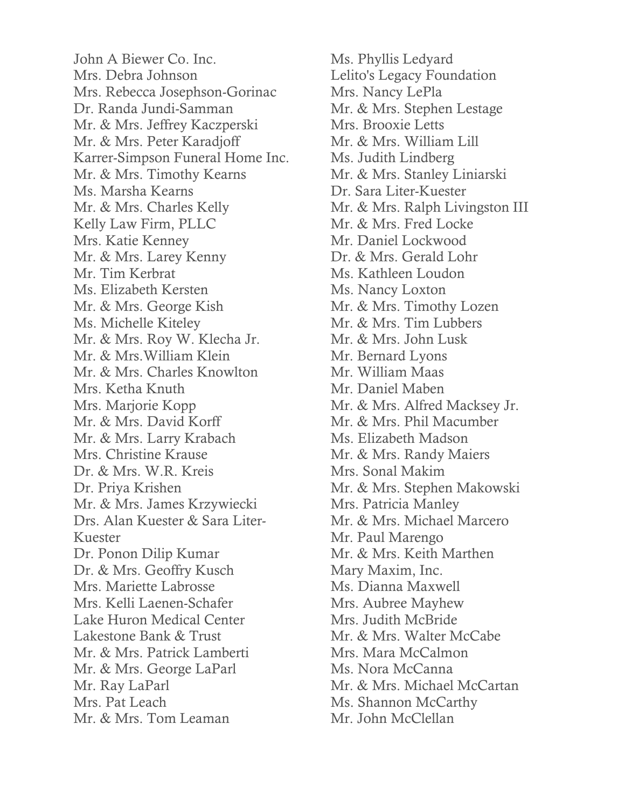John A Biewer Co. Inc. Mrs. Debra Johnson Mrs. Rebecca Josephson-Gorinac Dr. Randa Jundi-Samman Mr. & Mrs. Jeffrey Kaczperski Mr. & Mrs. Peter Karadjoff Karrer-Simpson Funeral Home Inc. Mr. & Mrs. Timothy Kearns Ms. Marsha Kearns Mr. & Mrs. Charles Kelly Kelly Law Firm, PLLC Mrs. Katie Kenney Mr. & Mrs. Larey Kenny Mr. Tim Kerbrat Ms. Elizabeth Kersten Mr. & Mrs. George Kish Ms. Michelle Kiteley Mr. & Mrs. Roy W. Klecha Jr. Mr. & Mrs.William Klein Mr. & Mrs. Charles Knowlton Mrs. Ketha Knuth Mrs. Marjorie Kopp Mr. & Mrs. David Korff Mr. & Mrs. Larry Krabach Mrs. Christine Krause Dr. & Mrs. W.R. Kreis Dr. Priya Krishen Mr. & Mrs. James Krzywiecki Drs. Alan Kuester & Sara Liter-Kuester Dr. Ponon Dilip Kumar Dr. & Mrs. Geoffry Kusch Mrs. Mariette Labrosse Mrs. Kelli Laenen-Schafer Lake Huron Medical Center Lakestone Bank & Trust Mr. & Mrs. Patrick Lamberti Mr. & Mrs. George LaParl Mr. Ray LaParl Mrs. Pat Leach Mr. & Mrs. Tom Leaman

Ms. Phyllis Ledyard Lelito's Legacy Foundation Mrs. Nancy LePla Mr. & Mrs. Stephen Lestage Mrs. Brooxie Letts Mr. & Mrs. William Lill Ms. Judith Lindberg Mr. & Mrs. Stanley Liniarski Dr. Sara Liter-Kuester Mr. & Mrs. Ralph Livingston III Mr. & Mrs. Fred Locke Mr. Daniel Lockwood Dr. & Mrs. Gerald Lohr Ms. Kathleen Loudon Ms. Nancy Loxton Mr. & Mrs. Timothy Lozen Mr. & Mrs. Tim Lubbers Mr. & Mrs. John Lusk Mr. Bernard Lyons Mr. William Maas Mr. Daniel Maben Mr. & Mrs. Alfred Macksey Jr. Mr. & Mrs. Phil Macumber Ms. Elizabeth Madson Mr. & Mrs. Randy Maiers Mrs. Sonal Makim Mr. & Mrs. Stephen Makowski Mrs. Patricia Manley Mr. & Mrs. Michael Marcero Mr. Paul Marengo Mr. & Mrs. Keith Marthen Mary Maxim, Inc. Ms. Dianna Maxwell Mrs. Aubree Mayhew Mrs. Judith McBride Mr. & Mrs. Walter McCabe Mrs. Mara McCalmon Ms. Nora McCanna Mr. & Mrs. Michael McCartan Ms. Shannon McCarthy Mr. John McClellan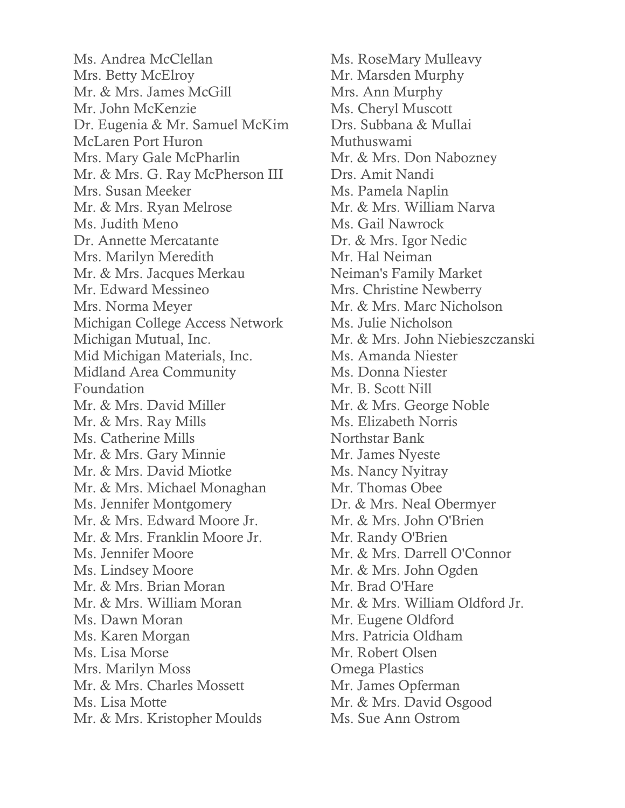Ms. Andrea McClellan Mrs. Betty McElroy Mr. & Mrs. James McGill Mr. John McKenzie Dr. Eugenia & Mr. Samuel McKim McLaren Port Huron Mrs. Mary Gale McPharlin Mr. & Mrs. G. Ray McPherson III Mrs. Susan Meeker Mr. & Mrs. Ryan Melrose Ms. Judith Meno Dr. Annette Mercatante Mrs. Marilyn Meredith Mr. & Mrs. Jacques Merkau Mr. Edward Messineo Mrs. Norma Meyer Michigan College Access Network Michigan Mutual, Inc. Mid Michigan Materials, Inc. Midland Area Community Foundation Mr. & Mrs. David Miller Mr. & Mrs. Ray Mills Ms. Catherine Mills Mr. & Mrs. Gary Minnie Mr. & Mrs. David Miotke Mr. & Mrs. Michael Monaghan Ms. Jennifer Montgomery Mr. & Mrs. Edward Moore Jr. Mr. & Mrs. Franklin Moore Jr. Ms. Jennifer Moore Ms. Lindsey Moore Mr. & Mrs. Brian Moran Mr. & Mrs. William Moran Ms. Dawn Moran Ms. Karen Morgan Ms. Lisa Morse Mrs. Marilyn Moss Mr. & Mrs. Charles Mossett Ms. Lisa Motte Mr. & Mrs. Kristopher Moulds

Ms. RoseMary Mulleavy Mr. Marsden Murphy Mrs. Ann Murphy Ms. Cheryl Muscott Drs. Subbana & Mullai Muthuswami Mr. & Mrs. Don Nabozney Drs. Amit Nandi Ms. Pamela Naplin Mr. & Mrs. William Narva Ms. Gail Nawrock Dr. & Mrs. Igor Nedic Mr. Hal Neiman Neiman's Family Market Mrs. Christine Newberry Mr. & Mrs. Marc Nicholson Ms. Julie Nicholson Mr. & Mrs. John Niebieszczanski Ms. Amanda Niester Ms. Donna Niester Mr. B. Scott Nill Mr. & Mrs. George Noble Ms. Elizabeth Norris Northstar Bank Mr. James Nyeste Ms. Nancy Nyitray Mr. Thomas Obee Dr. & Mrs. Neal Obermyer Mr. & Mrs. John O'Brien Mr. Randy O'Brien Mr. & Mrs. Darrell O'Connor Mr. & Mrs. John Ogden Mr. Brad O'Hare Mr. & Mrs. William Oldford Jr. Mr. Eugene Oldford Mrs. Patricia Oldham Mr. Robert Olsen Omega Plastics Mr. James Opferman Mr. & Mrs. David Osgood Ms. Sue Ann Ostrom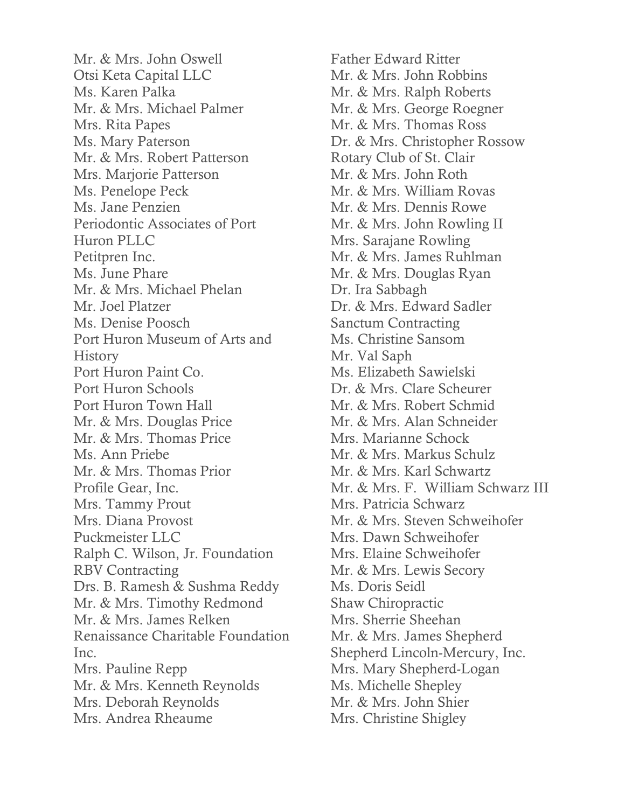Mr. & Mrs. John Oswell Otsi Keta Capital LLC Ms. Karen Palka Mr. & Mrs. Michael Palmer Mrs. Rita Papes Ms. Mary Paterson Mr. & Mrs. Robert Patterson Mrs. Marjorie Patterson Ms. Penelope Peck Ms. Jane Penzien Periodontic Associates of Port Huron PLLC Petitpren Inc. Ms. June Phare Mr. & Mrs. Michael Phelan Mr. Joel Platzer Ms. Denise Poosch Port Huron Museum of Arts and **History** Port Huron Paint Co. Port Huron Schools Port Huron Town Hall Mr. & Mrs. Douglas Price Mr. & Mrs. Thomas Price Ms. Ann Priebe Mr. & Mrs. Thomas Prior Profile Gear, Inc. Mrs. Tammy Prout Mrs. Diana Provost Puckmeister LLC Ralph C. Wilson, Jr. Foundation RBV Contracting Drs. B. Ramesh & Sushma Reddy Mr. & Mrs. Timothy Redmond Mr. & Mrs. James Relken Renaissance Charitable Foundation Inc. Mrs. Pauline Repp Mr. & Mrs. Kenneth Reynolds Mrs. Deborah Reynolds Mrs. Andrea Rheaume

Father Edward Ritter Mr. & Mrs. John Robbins Mr. & Mrs. Ralph Roberts Mr. & Mrs. George Roegner Mr. & Mrs. Thomas Ross Dr. & Mrs. Christopher Rossow Rotary Club of St. Clair Mr. & Mrs. John Roth Mr. & Mrs. William Rovas Mr. & Mrs. Dennis Rowe Mr. & Mrs. John Rowling II Mrs. Sarajane Rowling Mr. & Mrs. James Ruhlman Mr. & Mrs. Douglas Ryan Dr. Ira Sabbagh Dr. & Mrs. Edward Sadler Sanctum Contracting Ms. Christine Sansom Mr. Val Saph Ms. Elizabeth Sawielski Dr. & Mrs. Clare Scheurer Mr. & Mrs. Robert Schmid Mr. & Mrs. Alan Schneider Mrs. Marianne Schock Mr. & Mrs. Markus Schulz Mr. & Mrs. Karl Schwartz Mr. & Mrs. F. William Schwarz III Mrs. Patricia Schwarz Mr. & Mrs. Steven Schweihofer Mrs. Dawn Schweihofer Mrs. Elaine Schweihofer Mr. & Mrs. Lewis Secory Ms. Doris Seidl Shaw Chiropractic Mrs. Sherrie Sheehan Mr. & Mrs. James Shepherd Shepherd Lincoln-Mercury, Inc. Mrs. Mary Shepherd-Logan Ms. Michelle Shepley Mr. & Mrs. John Shier Mrs. Christine Shigley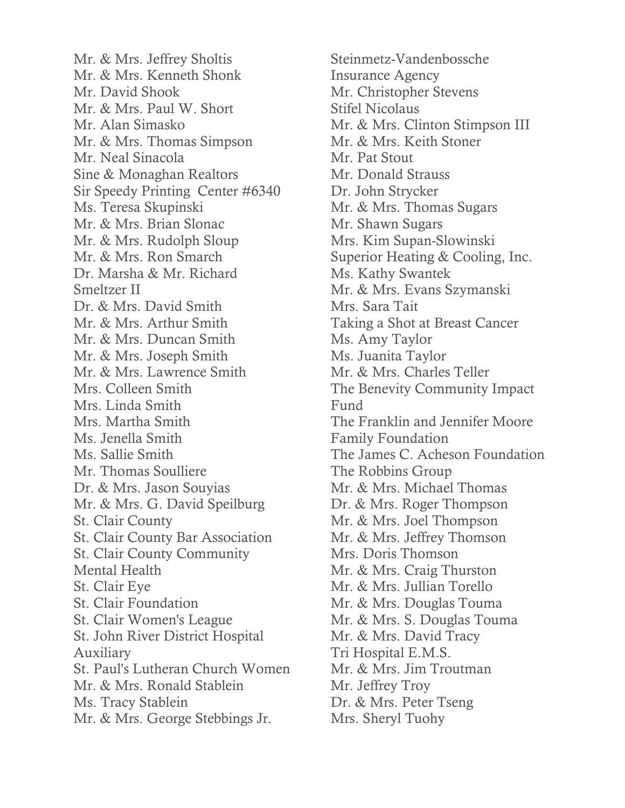Mr. & Mrs. Jeffrey Sholtis Mr. & Mrs. Kenneth Shonk Mr. David Shook Mr. & Mrs. Paul W. Short Mr. Alan Simasko Mr. & Mrs. Thomas Simpson Mr. Neal Sinacola Sine & Monaghan Realtors Sir Speedy Printing Center #6340 Ms. Teresa Skupinski Mr. & Mrs. Brian Slonac Mr. & Mrs. Rudolph Sloup Mr. & Mrs. Ron Smarch Dr. Marsha & Mr. Richard Smeltzer II Dr. & Mrs. David Smith Mr. & Mrs. Arthur Smith Mr. & Mrs. Duncan Smith Mr. & Mrs. Joseph Smith Mr. & Mrs. Lawrence Smith Mrs. Colleen Smith Mrs. Linda Smith Mrs. Martha Smith Ms. Jenella Smith Ms. Sallie Smith Mr. Thomas Soulliere Dr. & Mrs. Jason Souyias Mr. & Mrs. G. David Speilburg St. Clair County St. Clair County Bar Association St. Clair County Community Mental Health St. Clair Eye St. Clair Foundation St. Clair Women's League St. John River District Hospital Auxiliary St. Paul's Lutheran Church Women Mr. & Mrs. Ronald Stablein Ms. Tracy Stablein Mr. & Mrs. George Stebbings Jr.

Steinmetz-Vandenbossche Insurance Agency Mr. Christopher Stevens Stifel Nicolaus Mr. & Mrs. Clinton Stimpson III Mr. & Mrs. Keith Stoner Mr. Pat Stout Mr. Donald Strauss Dr. John Strycker Mr. & Mrs. Thomas Sugars Mr. Shawn Sugars Mrs. Kim Supan-Slowinski Superior Heating & Cooling, Inc. Ms. Kathy Swantek Mr. & Mrs. Evans Szymanski Mrs. Sara Tait Taking a Shot at Breast Cancer Ms. Amy Taylor Ms. Juanita Taylor Mr. & Mrs. Charles Teller The Benevity Community Impact Fund The Franklin and Jennifer Moore Family Foundation The James C. Acheson Foundation The Robbins Group Mr. & Mrs. Michael Thomas Dr. & Mrs. Roger Thompson Mr. & Mrs. Joel Thompson Mr. & Mrs. Jeffrey Thomson Mrs. Doris Thomson Mr. & Mrs. Craig Thurston Mr. & Mrs. Jullian Torello Mr. & Mrs. Douglas Touma Mr. & Mrs. S. Douglas Touma Mr. & Mrs. David Tracy Tri Hospital E.M.S. Mr. & Mrs. Jim Troutman Mr. Jeffrey Troy Dr. & Mrs. Peter Tseng Mrs. Sheryl Tuohy